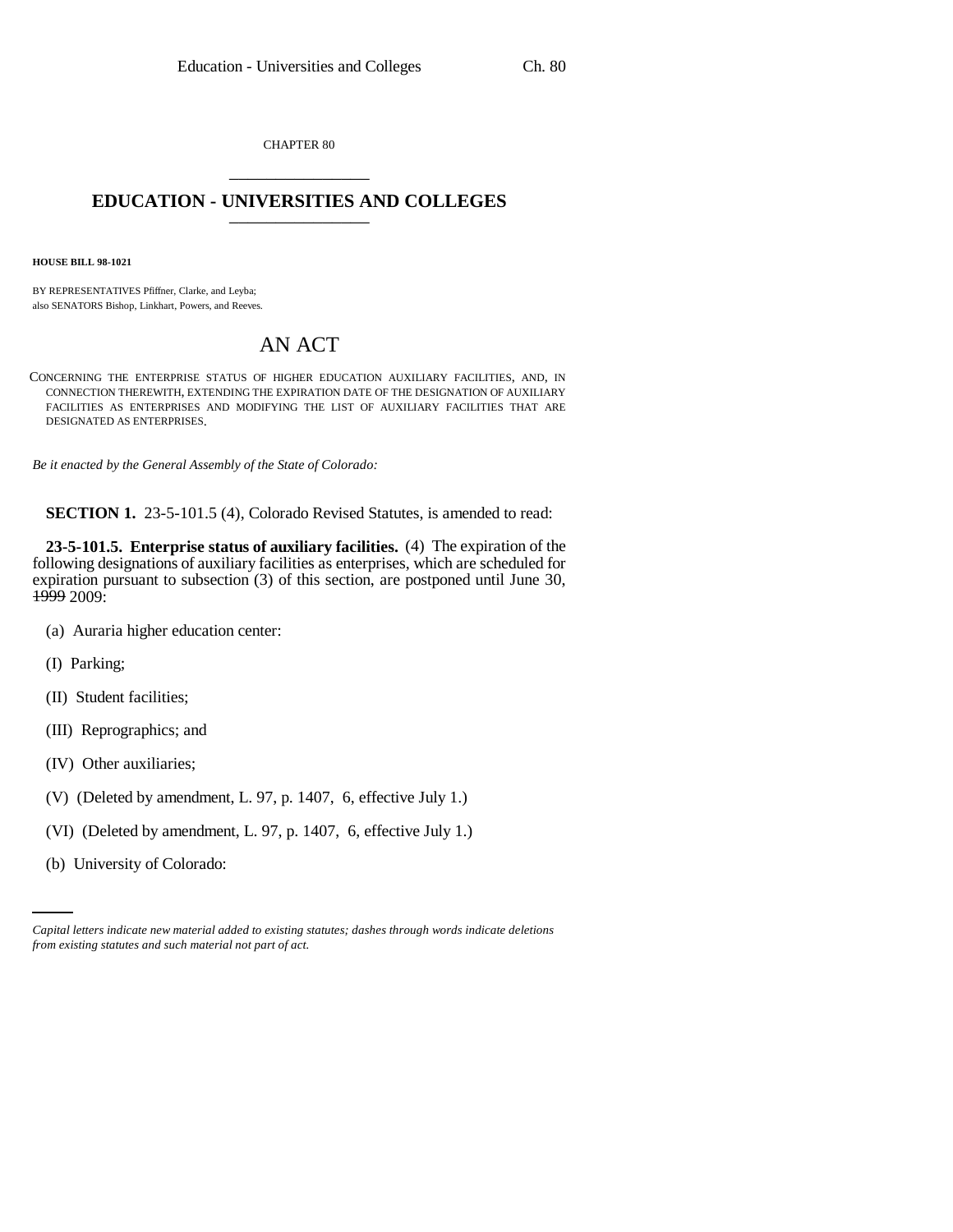CHAPTER 80 \_\_\_\_\_\_\_\_\_\_\_\_\_\_\_

## **EDUCATION - UNIVERSITIES AND COLLEGES** \_\_\_\_\_\_\_\_\_\_\_\_\_\_\_

**HOUSE BILL 98-1021**

BY REPRESENTATIVES Pfiffner, Clarke, and Leyba; also SENATORS Bishop, Linkhart, Powers, and Reeves.

## AN ACT

CONCERNING THE ENTERPRISE STATUS OF HIGHER EDUCATION AUXILIARY FACILITIES, AND, IN CONNECTION THEREWITH, EXTENDING THE EXPIRATION DATE OF THE DESIGNATION OF AUXILIARY FACILITIES AS ENTERPRISES AND MODIFYING THE LIST OF AUXILIARY FACILITIES THAT ARE DESIGNATED AS ENTERPRISES.

*Be it enacted by the General Assembly of the State of Colorado:*

**SECTION 1.** 23-5-101.5 (4), Colorado Revised Statutes, is amended to read:

**23-5-101.5. Enterprise status of auxiliary facilities.** (4) The expiration of the following designations of auxiliary facilities as enterprises, which are scheduled for expiration pursuant to subsection (3) of this section, are postponed until June 30, 1999 2009:

- (a) Auraria higher education center:
- (I) Parking;
- (II) Student facilities;
- (III) Reprographics; and
- (IV) Other auxiliaries;
- (V) (Deleted by amendment, L. 97, p. 1407, 6, effective July 1.)
- (VI) (Deleted by amendment, L. 97, p. 1407, 6, effective July 1.)
	- (b) University of Colorado:

*Capital letters indicate new material added to existing statutes; dashes through words indicate deletions from existing statutes and such material not part of act.*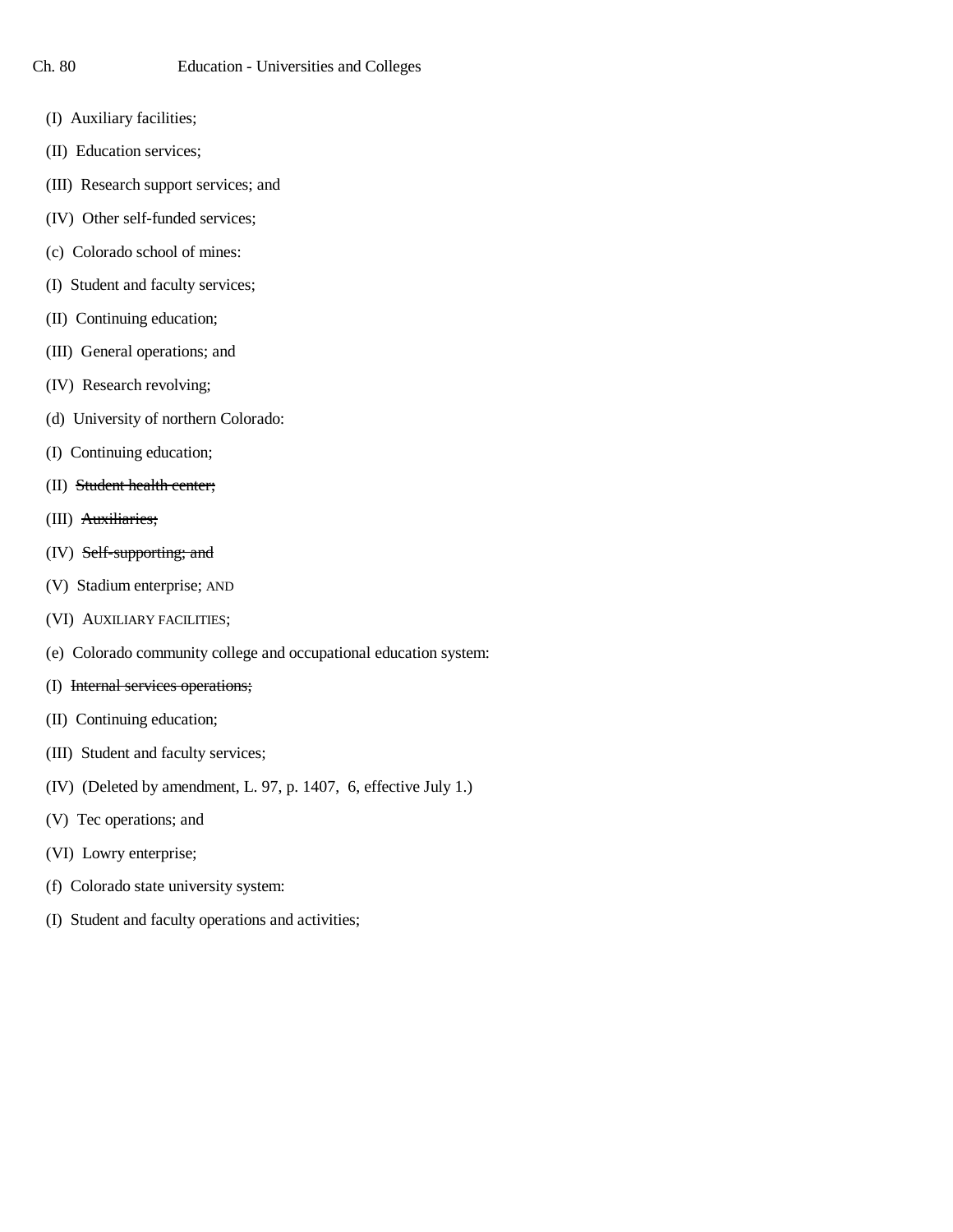- (I) Auxiliary facilities;
- (II) Education services;
- (III) Research support services; and
- (IV) Other self-funded services;
- (c) Colorado school of mines:
- (I) Student and faculty services;
- (II) Continuing education;
- (III) General operations; and
- (IV) Research revolving;
- (d) University of northern Colorado:
- (I) Continuing education;
- (II) Student health center;
- (III) Auxiliaries;
- (IV) Self-supporting; and
- (V) Stadium enterprise; AND
- (VI) AUXILIARY FACILITIES;
- (e) Colorado community college and occupational education system:
- (I) Internal services operations;
- (II) Continuing education;
- (III) Student and faculty services;
- (IV) (Deleted by amendment, L. 97, p. 1407, 6, effective July 1.)
- (V) Tec operations; and
- (VI) Lowry enterprise;
- (f) Colorado state university system:
- (I) Student and faculty operations and activities;